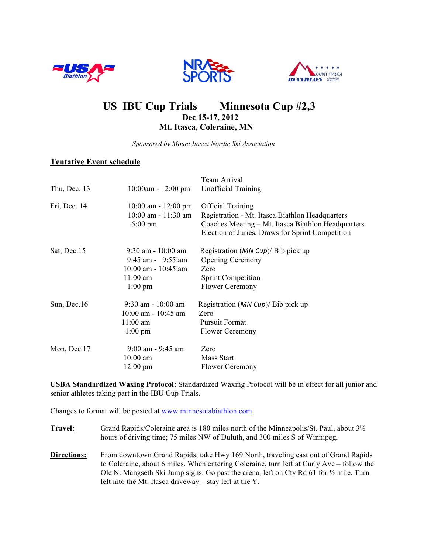





# US IBU Cup Trials Minnesota Cup #2,3<br>Dec 15-17, 2012  **Mt. Itasca, Coleraine, MN**

 *Sponsored by Mount Itasca Nordic Ski Association*

## **Tentative Event schedule**

| Thu, Dec. 13 | $10:00$ am - 2:00 pm                                                                                        | Team Arrival<br><b>Unofficial Training</b>                                                                                                                                            |
|--------------|-------------------------------------------------------------------------------------------------------------|---------------------------------------------------------------------------------------------------------------------------------------------------------------------------------------|
| Fri, Dec. 14 | $10:00$ am - $12:00$ pm<br>$10:00$ am - $11:30$ am<br>$5:00 \text{ pm}$                                     | <b>Official Training</b><br>Registration - Mt. Itasca Biathlon Headquarters<br>Coaches Meeting - Mt. Itasca Biathlon Headquarters<br>Election of Juries, Draws for Sprint Competition |
| Sat, Dec.15  | $9:30$ am - 10:00 am<br>$9:45$ am - $9:55$ am<br>$10:00$ am - $10:45$ am<br>$11:00$ am<br>$1:00 \text{ pm}$ | Registration ( $MN Cup$ )/ Bib pick up<br><b>Opening Ceremony</b><br>Zero<br><b>Sprint Competition</b><br><b>Flower Ceremony</b>                                                      |
| Sun, Dec.16  | $9:30$ am - $10:00$ am<br>$10:00$ am - $10:45$ am<br>$11:00$ am<br>$1:00 \text{ pm}$                        | Registration ( <i>MN Cup</i> )/ Bib pick up<br>Zero<br><b>Pursuit Format</b><br><b>Flower Ceremony</b>                                                                                |
| Mon, Dec.17  | $9:00$ am - $9:45$ am<br>$10:00$ am<br>$12:00 \text{ pm}$                                                   | Zero<br>Mass Start<br><b>Flower Ceremony</b>                                                                                                                                          |

**USBA Standardized Waxing Protocol:** Standardized Waxing Protocol will be in effect for all junior and senior athletes taking part in the IBU Cup Trials.

Changes to format will be posted at www.minnesotabiathlon.com

**Travel:** Grand Rapids/Coleraine area is 180 miles north of the Minneapolis/St. Paul, about 3½ hours of driving time; 75 miles NW of Duluth, and 300 miles S of Winnipeg.

**Directions:** From downtown Grand Rapids, take Hwy 169 North, traveling east out of Grand Rapids to Coleraine, about 6 miles. When entering Coleraine, turn left at Curly Ave – follow the Ole N. Mangseth Ski Jump signs. Go past the arena, left on Cty Rd 61 for ½ mile. Turn left into the Mt. Itasca driveway – stay left at the Y.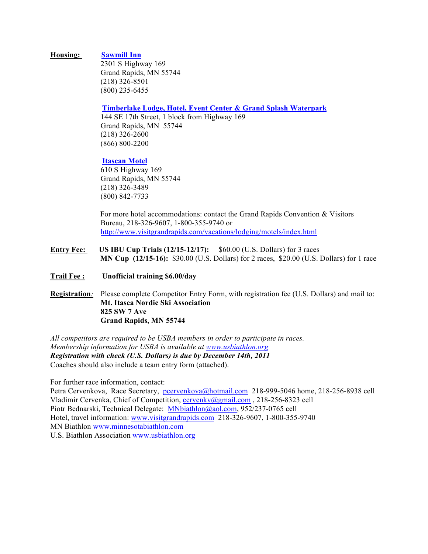#### **Housing: Sawmill Inn**

2301 S Highway 169 Grand Rapids, MN 55744 (218) 326-8501 (800) 235-6455

#### **Timberlake Lodge, Hotel, Event Center & Grand Splash Waterpark**

144 SE 17th Street, 1 block from Highway 169 Grand Rapids, MN 55744 (218) 326-2600 (866) 800-2200

#### **Itascan Motel**

610 S Highway 169 Grand Rapids, MN 55744 (218) 326-3489 (800) 842-7733

 For more hotel accommodations: contact the Grand Rapids Convention & Visitors Bureau, 218-326-9607, 1-800-355-9740 or http://www.visitgrandrapids.com/vacations/lodging/motels/index.html

- **Entry Fee: US IBU Cup Trials (12/15-12/17):** \$60.00 (U.S. Dollars) for 3 races  **MN Cup (12/15-16):** \$30.00 (U.S. Dollars) for 2 races, \$20.00 (U.S. Dollars) for 1 race
- **Trail Fee : Unofficial training \$6.00/day**
- **Registration***:* Please complete Competitor Entry Form, with registration fee (U.S. Dollars) and mail to: **Mt. Itasca Nordic Ski Association 825 SW 7 Ave Grand Rapids, MN 55744**

*All competitors are required to be USBA members in order to participate in races. Membership information for USBA is available at www.usbiathlon.org Registration with check (U.S. Dollars) is due by December 14th, 2011* Coaches should also include a team entry form (attached).

For further race information, contact:

Petra Cervenkova, Race Secretary, pcervenkova@hotmail.com 218-999-5046 home, 218-256-8938 cell Vladimir Cervenka, Chief of Competition, cervenky@gmail.com, 218-256-8323 cell Piotr Bednarski, Technical Delegate: MNbiathlon@aol.com, 952/237-0765 cell Hotel, travel information: www.visitgrandrapids.com 218-326-9607, 1-800-355-9740 MN Biathlon www.minnesotabiathlon.com U.S. Biathlon Association www.usbiathlon.org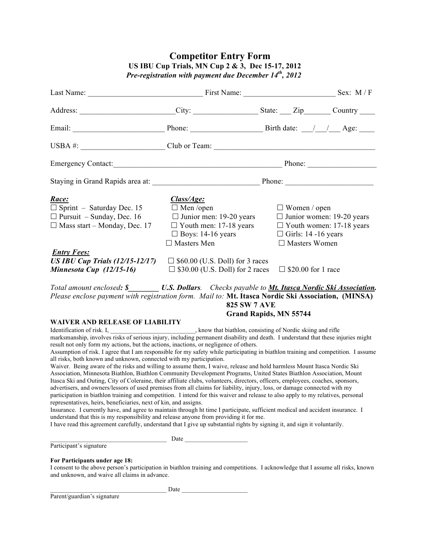# **Competitor Entry Form US IBU Cup Trials, MN Cup 2 & 3, Dec 15-17, 2012** *Pre-registration with payment due December 14th, 2012*

|                                                                                                                                                                                                                                                                                                                                                                                                                                                                                                                                                                                                                                                                                                                                                                                                                                                                                                                                                                                                                                                                                                                                                                                                                                                                                                                                                                                        | Last Name: Sex: M/F |                                                                                                                                   |  |  |  |  |
|----------------------------------------------------------------------------------------------------------------------------------------------------------------------------------------------------------------------------------------------------------------------------------------------------------------------------------------------------------------------------------------------------------------------------------------------------------------------------------------------------------------------------------------------------------------------------------------------------------------------------------------------------------------------------------------------------------------------------------------------------------------------------------------------------------------------------------------------------------------------------------------------------------------------------------------------------------------------------------------------------------------------------------------------------------------------------------------------------------------------------------------------------------------------------------------------------------------------------------------------------------------------------------------------------------------------------------------------------------------------------------------|---------------------|-----------------------------------------------------------------------------------------------------------------------------------|--|--|--|--|
| Address: _________________________City: ____________________State: ____Zip_______Country _____                                                                                                                                                                                                                                                                                                                                                                                                                                                                                                                                                                                                                                                                                                                                                                                                                                                                                                                                                                                                                                                                                                                                                                                                                                                                                         |                     |                                                                                                                                   |  |  |  |  |
|                                                                                                                                                                                                                                                                                                                                                                                                                                                                                                                                                                                                                                                                                                                                                                                                                                                                                                                                                                                                                                                                                                                                                                                                                                                                                                                                                                                        |                     |                                                                                                                                   |  |  |  |  |
| USBA #: $\_\_\_\_\_\_\_\_\_\$ Club or Team: $\_\_\_\_\_\_\_\_\_\_\_\_\_\_\_\_\_\_\_\_\_\_\_\_\_\_\_\_\_$                                                                                                                                                                                                                                                                                                                                                                                                                                                                                                                                                                                                                                                                                                                                                                                                                                                                                                                                                                                                                                                                                                                                                                                                                                                                               |                     |                                                                                                                                   |  |  |  |  |
|                                                                                                                                                                                                                                                                                                                                                                                                                                                                                                                                                                                                                                                                                                                                                                                                                                                                                                                                                                                                                                                                                                                                                                                                                                                                                                                                                                                        |                     | Emergency Contact: <u>Contactional Contraction of</u> Phone: <u>Contraction Phone:</u> Contaction Phone: <u>Contraction Phone</u> |  |  |  |  |
|                                                                                                                                                                                                                                                                                                                                                                                                                                                                                                                                                                                                                                                                                                                                                                                                                                                                                                                                                                                                                                                                                                                                                                                                                                                                                                                                                                                        |                     |                                                                                                                                   |  |  |  |  |
| Race:<br>Class/Age:<br>$\Box$ Sprint - Saturday Dec. 15<br>$\Box$ Men /open<br>$\Box$ Women / open<br>$\Box$ Junior men: 19-20 years<br>$\Box$ Junior women: 19-20 years<br>$\Box$ Pursuit – Sunday, Dec. 16<br>$\Box$ Youth women: 17-18 years<br>$\Box$ Mass start – Monday, Dec. 17<br>$\Box$ Youth men: 17-18 years<br>$\Box$ Boys: 14-16 years<br>$\Box$ Girls: 14 -16 years<br>$\Box$ Masters Men<br>$\Box$ Masters Women<br><b>Entry Fees:</b><br>US IBU Cup Trials (12/15-12/17) $\Box$ \$60.00 (U.S. Doll) for 3 races<br><b>Minnesota Cup</b> $(12/15-16)$ $\Box$ \$30.00 (U.S. Doll) for 2 races<br>$\Box$ \$20.00 for 1 race<br>Total amount enclosed: \$ U.S. Dollars. Checks payable to Mt. Itasca Nordic Ski Association.<br>Please enclose payment with registration form. Mail to: Mt. Itasca Nordic Ski Association, (MINSA)<br><b>825 SW 7 AVE</b>                                                                                                                                                                                                                                                                                                                                                                                                                                                                                                                  |                     |                                                                                                                                   |  |  |  |  |
| <b>WAIVER AND RELEASE OF LIABILITY</b>                                                                                                                                                                                                                                                                                                                                                                                                                                                                                                                                                                                                                                                                                                                                                                                                                                                                                                                                                                                                                                                                                                                                                                                                                                                                                                                                                 |                     | <b>Grand Rapids, MN 55744</b>                                                                                                     |  |  |  |  |
| result not only form my actions, but the actions, inactions, or negligence of others.<br>Assumption of risk. I agree that I am responsible for my safety while participating in biathlon training and competition. I assume<br>all risks, both known and unknown, connected with my participation.<br>Waiver. Being aware of the risks and willing to assume them, I waive, release and hold harmless Mount Itasca Nordic Ski<br>Association, Minnesota Biathlon, Biathlon Community Development Programs, United States Biathlon Association, Mount<br>Itasca Ski and Outing, City of Coleraine, their affiliate clubs, volunteers, directors, officers, employees, coaches, sponsors,<br>advertisers, and owners/lessors of used premises from all claims for liability, injury, loss, or damage connected with my<br>participation in biathlon training and competition. I intend for this waiver and release to also apply to my relatives, personal<br>representatives, heirs, beneficiaries, next of kin, and assigns.<br>Insurance. I currently have, and agree to maintain through ht time I participate, sufficient medical and accident insurance. I<br>understand that this is my responsibility and release anyone from providing it for me.<br>I have read this agreement carefully, understand that I give up substantial rights by signing it, and sign it voluntarily. |                     |                                                                                                                                   |  |  |  |  |
| Participant's signature                                                                                                                                                                                                                                                                                                                                                                                                                                                                                                                                                                                                                                                                                                                                                                                                                                                                                                                                                                                                                                                                                                                                                                                                                                                                                                                                                                | Date Date           |                                                                                                                                   |  |  |  |  |
|                                                                                                                                                                                                                                                                                                                                                                                                                                                                                                                                                                                                                                                                                                                                                                                                                                                                                                                                                                                                                                                                                                                                                                                                                                                                                                                                                                                        |                     |                                                                                                                                   |  |  |  |  |
| For Participants under age 18:<br>I consent to the above person's participation in biathlon training and competitions. I acknowledge that I assume all risks, known<br>and unknown, and waive all claims in advance.                                                                                                                                                                                                                                                                                                                                                                                                                                                                                                                                                                                                                                                                                                                                                                                                                                                                                                                                                                                                                                                                                                                                                                   |                     |                                                                                                                                   |  |  |  |  |
|                                                                                                                                                                                                                                                                                                                                                                                                                                                                                                                                                                                                                                                                                                                                                                                                                                                                                                                                                                                                                                                                                                                                                                                                                                                                                                                                                                                        | Date                |                                                                                                                                   |  |  |  |  |

Parent/guardian's signature